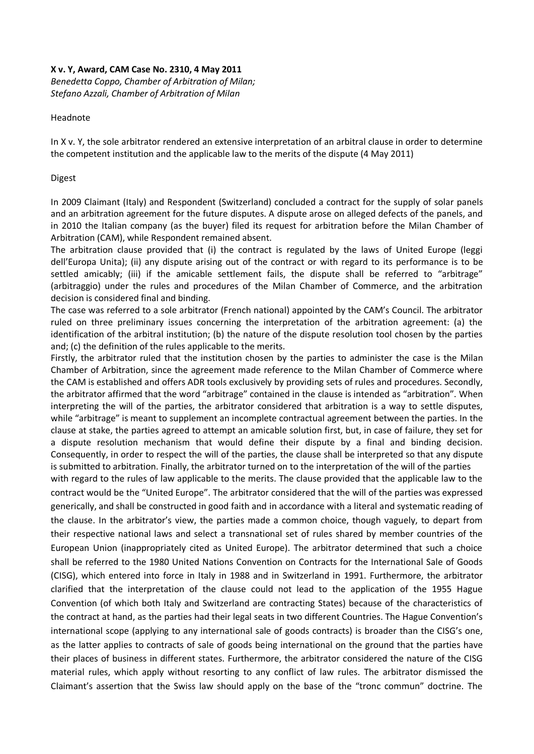## **X v. Y, Award, CAM Case No. 2310, 4 May 2011**

*Benedetta Coppo, Chamber of Arbitration of Milan; Stefano Azzali, Chamber of Arbitration of Milan* 

## Headnote

In X v. Y, the sole arbitrator rendered an extensive interpretation of an arbitral clause in order to determine the competent institution and the applicable law to the merits of the dispute (4 May 2011)

## Digest

In 2009 Claimant (Italy) and Respondent (Switzerland) concluded a contract for the supply of solar panels and an arbitration agreement for the future disputes. A dispute arose on alleged defects of the panels, and in 2010 the Italian company (as the buyer) filed its request for arbitration before the Milan Chamber of Arbitration (CAM), while Respondent remained absent.

The arbitration clause provided that (i) the contract is regulated by the laws of United Europe (leggi dell'Europa Unita); (ii) any dispute arising out of the contract or with regard to its performance is to be settled amicably; (iii) if the amicable settlement fails, the dispute shall be referred to "arbitrage" (arbitraggio) under the rules and procedures of the Milan Chamber of Commerce, and the arbitration decision is considered final and binding.

The case was referred to a sole arbitrator (French national) appointed by the CAM's Council. The arbitrator ruled on three preliminary issues concerning the interpretation of the arbitration agreement: (a) the identification of the arbitral institution; (b) the nature of the dispute resolution tool chosen by the parties and; (c) the definition of the rules applicable to the merits.

Firstly, the arbitrator ruled that the institution chosen by the parties to administer the case is the Milan Chamber of Arbitration, since the agreement made reference to the Milan Chamber of Commerce where the CAM is established and offers ADR tools exclusively by providing sets of rules and procedures. Secondly, the arbitrator affirmed that the word "arbitrage" contained in the clause is intended as "arbitration". When interpreting the will of the parties, the arbitrator considered that arbitration is a way to settle disputes, while "arbitrage" is meant to supplement an incomplete contractual agreement between the parties. In the clause at stake, the parties agreed to attempt an amicable solution first, but, in case of failure, they set for a dispute resolution mechanism that would define their dispute by a final and binding decision. Consequently, in order to respect the will of the parties, the clause shall be interpreted so that any dispute is submitted to arbitration. Finally, the arbitrator turned on to the interpretation of the will of the parties

with regard to the rules of law applicable to the merits. The clause provided that the applicable law to the contract would be the "United Europe". The arbitrator considered that the will of the parties was expressed generically, and shall be constructed in good faith and in accordance with a literal and systematic reading of the clause. In the arbitrator's view, the parties made a common choice, though vaguely, to depart from their respective national laws and select a transnational set of rules shared by member countries of the European Union (inappropriately cited as United Europe). The arbitrator determined that such a choice shall be referred to the 1980 United Nations Convention on Contracts for the International Sale of Goods (CISG), which entered into force in Italy in 1988 and in Switzerland in 1991. Furthermore, the arbitrator clarified that the interpretation of the clause could not lead to the application of the 1955 Hague Convention (of which both Italy and Switzerland are contracting States) because of the characteristics of the contract at hand, as the parties had their legal seats in two different Countries. The Hague Convention's international scope (applying to any international sale of goods contracts) is broader than the CISG's one, as the latter applies to contracts of sale of goods being international on the ground that the parties have their places of business in different states. Furthermore, the arbitrator considered the nature of the CISG material rules, which apply without resorting to any conflict of law rules. The arbitrator dismissed the Claimant's assertion that the Swiss law should apply on the base of the "tronc commun" doctrine. The